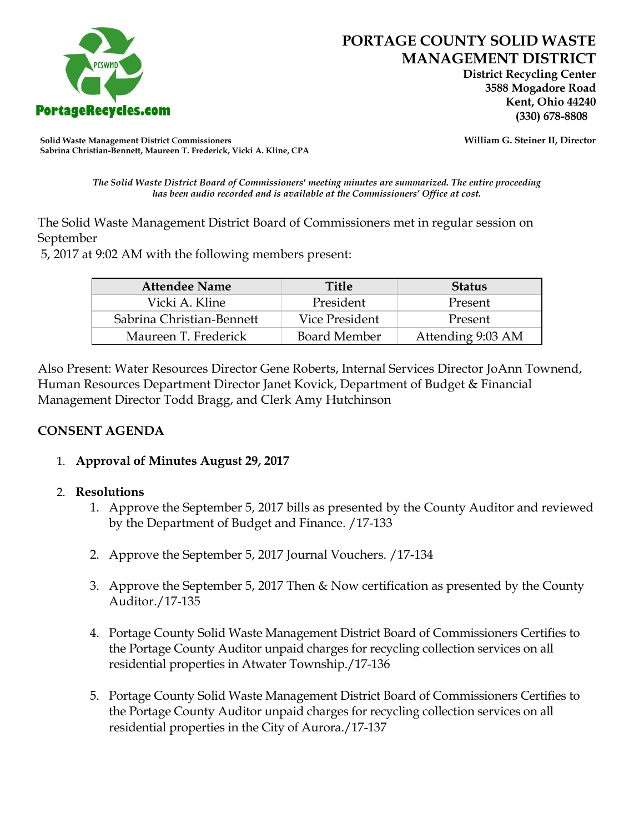

# **PORTAGE COUNTY SOLID WASTE MANAGEMENT DISTRICT**

 **District Recycling Center 3588 Mogadore Road Kent, Ohio 44240**

**Solid Waste Management District Commissioners William G. Steiner II, Director Sabrina Christian-Bennett, Maureen T. Frederick, Vicki A. Kline, CPA**

*The Solid Waste District Board of Commissioners' meeting minutes are summarized. The entire proceeding has been audio recorded and is available at the Commissioners' Office at cost.*

The Solid Waste Management District Board of Commissioners met in regular session on September

5, 2017 at 9:02 AM with the following members present:

| <b>Attendee Name</b>      | Title               | <b>Status</b>     |
|---------------------------|---------------------|-------------------|
| Vicki A. Kline            | President           | Present           |
| Sabrina Christian-Bennett | Vice President      | Present           |
| Maureen T. Frederick      | <b>Board Member</b> | Attending 9:03 AM |

Also Present: Water Resources Director Gene Roberts, Internal Services Director JoAnn Townend, Human Resources Department Director Janet Kovick, Department of Budget & Financial Management Director Todd Bragg, and Clerk Amy Hutchinson

#### **CONSENT AGENDA**

1. **Approval of Minutes August 29, 2017**

#### 2. **Resolutions**

- 1. Approve the September 5, 2017 bills as presented by the County Auditor and reviewed by the Department of Budget and Finance. /17-133
- 2. Approve the September 5, 2017 Journal Vouchers. /17-134
- 3. Approve the September 5, 2017 Then & Now certification as presented by the County Auditor./17-135
- 4. Portage County Solid Waste Management District Board of Commissioners Certifies to the Portage County Auditor unpaid charges for recycling collection services on all residential properties in Atwater Township./17-136
- 5. Portage County Solid Waste Management District Board of Commissioners Certifies to the Portage County Auditor unpaid charges for recycling collection services on all residential properties in the City of Aurora./17-137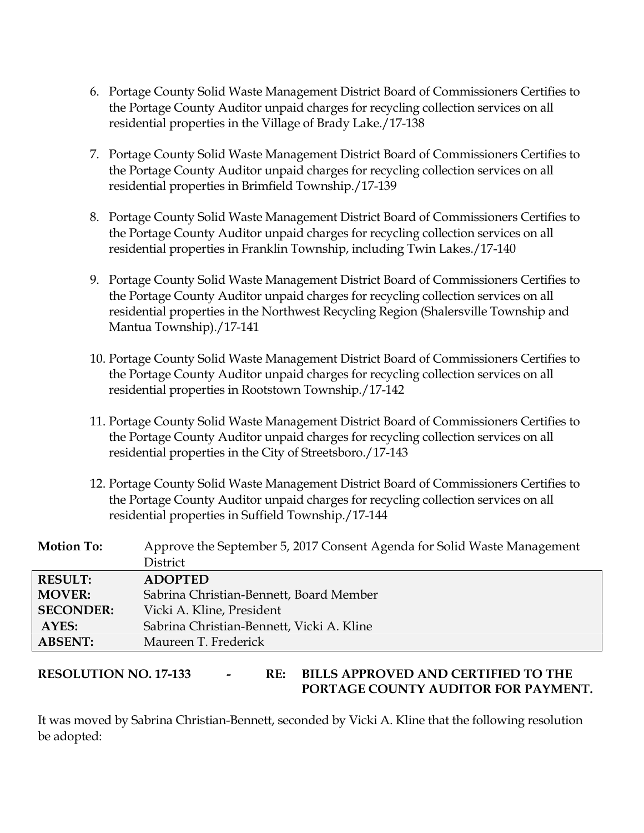- 6. Portage County Solid Waste Management District Board of Commissioners Certifies to the Portage County Auditor unpaid charges for recycling collection services on all residential properties in the Village of Brady Lake./17-138
- 7. Portage County Solid Waste Management District Board of Commissioners Certifies to the Portage County Auditor unpaid charges for recycling collection services on all residential properties in Brimfield Township./17-139
- 8. Portage County Solid Waste Management District Board of Commissioners Certifies to the Portage County Auditor unpaid charges for recycling collection services on all residential properties in Franklin Township, including Twin Lakes./17-140
- 9. Portage County Solid Waste Management District Board of Commissioners Certifies to the Portage County Auditor unpaid charges for recycling collection services on all residential properties in the Northwest Recycling Region (Shalersville Township and Mantua Township)./17-141
- 10. Portage County Solid Waste Management District Board of Commissioners Certifies to the Portage County Auditor unpaid charges for recycling collection services on all residential properties in Rootstown Township./17-142
- 11. Portage County Solid Waste Management District Board of Commissioners Certifies to the Portage County Auditor unpaid charges for recycling collection services on all residential properties in the City of Streetsboro./17-143
- 12. Portage County Solid Waste Management District Board of Commissioners Certifies to the Portage County Auditor unpaid charges for recycling collection services on all residential properties in Suffield Township./17-144

| <b>Motion To:</b> | Approve the September 5, 2017 Consent Agenda for Solid Waste Management |
|-------------------|-------------------------------------------------------------------------|
|                   | <b>District</b>                                                         |
| <b>RESULT:</b>    | <b>ADOPTED</b>                                                          |
| <b>MOVER:</b>     | Sabrina Christian-Bennett, Board Member                                 |
| <b>SECONDER:</b>  | Vicki A. Kline, President                                               |
| AYES:             | Sabrina Christian-Bennett, Vicki A. Kline                               |
| <b>ABSENT:</b>    | Maureen T. Frederick                                                    |

#### **RESOLUTION NO. 17-133 - RE: BILLS APPROVED AND CERTIFIED TO THE PORTAGE COUNTY AUDITOR FOR PAYMENT.**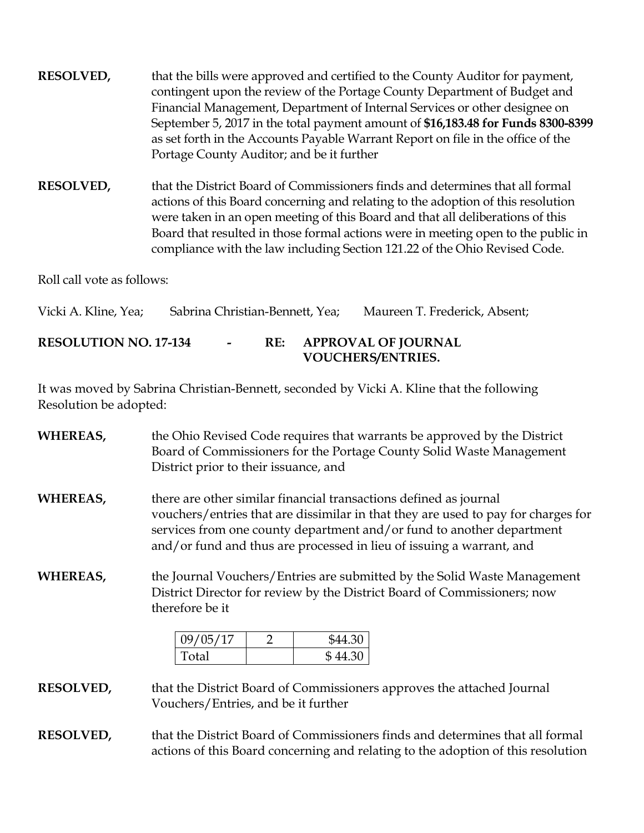**RESOLVED,** that the bills were approved and certified to the County Auditor for payment, contingent upon the review of the Portage County Department of Budget and Financial Management, Department of Internal Services or other designee on September 5, 2017 in the total payment amount of **\$16,183.48 for Funds 8300-8399**  as set forth in the Accounts Payable Warrant Report on file in the office of the Portage County Auditor; and be it further

**RESOLVED,** that the District Board of Commissioners finds and determines that all formal actions of this Board concerning and relating to the adoption of this resolution were taken in an open meeting of this Board and that all deliberations of this Board that resulted in those formal actions were in meeting open to the public in compliance with the law including Section 121.22 of the Ohio Revised Code.

Roll call vote as follows:

Vicki A. Kline, Yea; Sabrina Christian-Bennett, Yea; Maureen T. Frederick, Absent;

#### **RESOLUTION NO. 17-134 - RE: APPROVAL OF JOURNAL VOUCHERS/ENTRIES.**

It was moved by Sabrina Christian-Bennett, seconded by Vicki A. Kline that the following Resolution be adopted:

| WHEREAS,         | the Ohio Revised Code requires that warrants be approved by the District<br>Board of Commissioners for the Portage County Solid Waste Management<br>District prior to their issuance, and                                                                                                               |  |  |
|------------------|---------------------------------------------------------------------------------------------------------------------------------------------------------------------------------------------------------------------------------------------------------------------------------------------------------|--|--|
| WHEREAS,         | there are other similar financial transactions defined as journal<br>vouchers/entries that are dissimilar in that they are used to pay for charges for<br>services from one county department and/or fund to another department<br>and/or fund and thus are processed in lieu of issuing a warrant, and |  |  |
| WHEREAS,         | the Journal Vouchers/Entries are submitted by the Solid Waste Management<br>District Director for review by the District Board of Commissioners; now<br>therefore be it                                                                                                                                 |  |  |
|                  | 09/05/17<br>\$44.30<br>2                                                                                                                                                                                                                                                                                |  |  |
|                  | Total<br>\$44.30                                                                                                                                                                                                                                                                                        |  |  |
| <b>RESOLVED,</b> | that the District Board of Commissioners approves the attached Journal                                                                                                                                                                                                                                  |  |  |

Vouchers/Entries, and be it further

**RESOLVED,** that the District Board of Commissioners finds and determines that all formal actions of this Board concerning and relating to the adoption of this resolution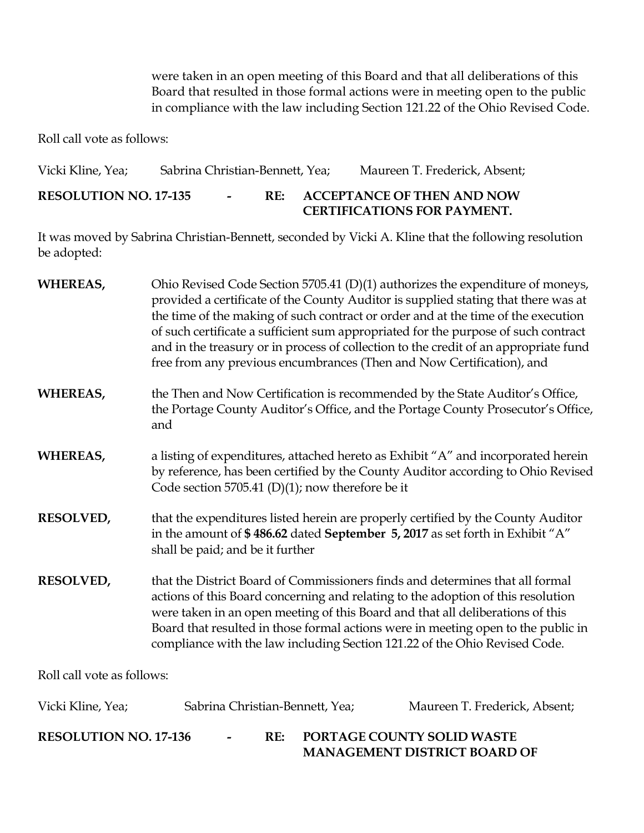were taken in an open meeting of this Board and that all deliberations of this Board that resulted in those formal actions were in meeting open to the public in compliance with the law including Section 121.22 of the Ohio Revised Code.

Roll call vote as follows:

Vicki Kline, Yea; Sabrina Christian-Bennett, Yea; Maureen T. Frederick, Absent; **RESOLUTION NO. 17-135 - RE: ACCEPTANCE OF THEN AND NOW CERTIFICATIONS FOR PAYMENT.**

| <b>WHEREAS,</b>            | Ohio Revised Code Section 5705.41 (D)(1) authorizes the expenditure of moneys,<br>provided a certificate of the County Auditor is supplied stating that there was at<br>the time of the making of such contract or order and at the time of the execution<br>of such certificate a sufficient sum appropriated for the purpose of such contract<br>and in the treasury or in process of collection to the credit of an appropriate fund<br>free from any previous encumbrances (Then and Now Certification), and |
|----------------------------|------------------------------------------------------------------------------------------------------------------------------------------------------------------------------------------------------------------------------------------------------------------------------------------------------------------------------------------------------------------------------------------------------------------------------------------------------------------------------------------------------------------|
| <b>WHEREAS,</b>            | the Then and Now Certification is recommended by the State Auditor's Office,<br>the Portage County Auditor's Office, and the Portage County Prosecutor's Office,<br>and                                                                                                                                                                                                                                                                                                                                          |
| <b>WHEREAS,</b>            | a listing of expenditures, attached hereto as Exhibit "A" and incorporated herein<br>by reference, has been certified by the County Auditor according to Ohio Revised<br>Code section 5705.41 (D)(1); now therefore be it                                                                                                                                                                                                                                                                                        |
| <b>RESOLVED,</b>           | that the expenditures listed herein are properly certified by the County Auditor<br>in the amount of \$486.62 dated September 5, 2017 as set forth in Exhibit "A"<br>shall be paid; and be it further                                                                                                                                                                                                                                                                                                            |
| <b>RESOLVED,</b>           | that the District Board of Commissioners finds and determines that all formal<br>actions of this Board concerning and relating to the adoption of this resolution<br>were taken in an open meeting of this Board and that all deliberations of this<br>Board that resulted in those formal actions were in meeting open to the public in<br>compliance with the law including Section 121.22 of the Ohio Revised Code.                                                                                           |
| Roll call vote as follows: |                                                                                                                                                                                                                                                                                                                                                                                                                                                                                                                  |

| Vicki Kline, Yea;            |        |     | Sabrina Christian-Bennett, Yea; | Maureen T. Frederick, Absent;                                            |
|------------------------------|--------|-----|---------------------------------|--------------------------------------------------------------------------|
| <b>RESOLUTION NO. 17-136</b> | $\sim$ | RE: |                                 | <b>PORTAGE COUNTY SOLID WASTE</b><br><b>MANAGEMENT DISTRICT BOARD OF</b> |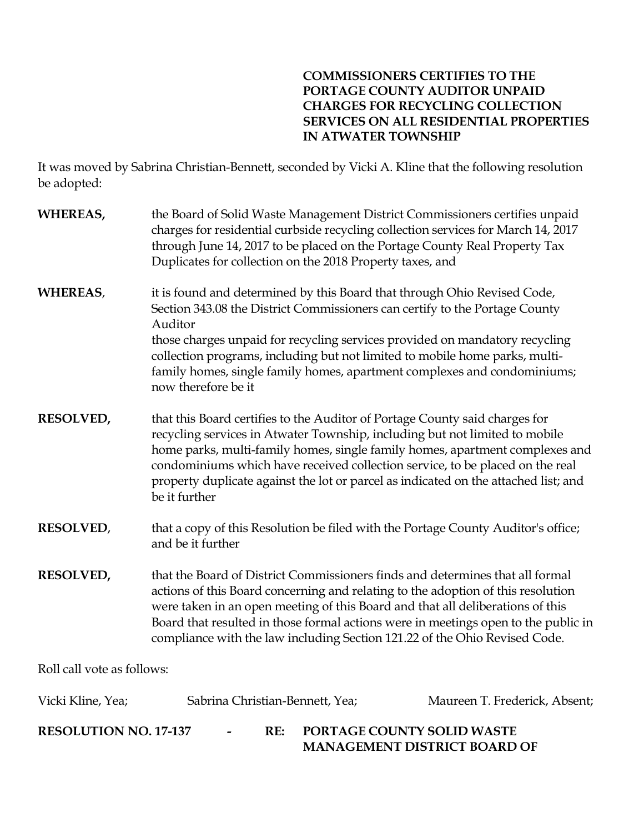# **COMMISSIONERS CERTIFIES TO THE PORTAGE COUNTY AUDITOR UNPAID CHARGES FOR RECYCLING COLLECTION SERVICES ON ALL RESIDENTIAL PROPERTIES IN ATWATER TOWNSHIP**

| WHEREAS,                       | the Board of Solid Waste Management District Commissioners certifies unpaid<br>charges for residential curbside recycling collection services for March 14, 2017<br>through June 14, 2017 to be placed on the Portage County Real Property Tax<br>Duplicates for collection on the 2018 Property taxes, and                                                                                                                         |                                      |
|--------------------------------|-------------------------------------------------------------------------------------------------------------------------------------------------------------------------------------------------------------------------------------------------------------------------------------------------------------------------------------------------------------------------------------------------------------------------------------|--------------------------------------|
| <b>WHEREAS,</b>                | it is found and determined by this Board that through Ohio Revised Code,<br>Section 343.08 the District Commissioners can certify to the Portage County<br>Auditor<br>those charges unpaid for recycling services provided on mandatory recycling<br>collection programs, including but not limited to mobile home parks, multi-<br>family homes, single family homes, apartment complexes and condominiums;<br>now therefore be it |                                      |
| <b>RESOLVED,</b>               | that this Board certifies to the Auditor of Portage County said charges for<br>recycling services in Atwater Township, including but not limited to mobile<br>home parks, multi-family homes, single family homes, apartment complexes and<br>condominiums which have received collection service, to be placed on the real<br>property duplicate against the lot or parcel as indicated on the attached list; and<br>be it further |                                      |
| <b>RESOLVED,</b>               | that a copy of this Resolution be filed with the Portage County Auditor's office;<br>and be it further                                                                                                                                                                                                                                                                                                                              |                                      |
| <b>RESOLVED,</b>               | that the Board of District Commissioners finds and determines that all formal<br>actions of this Board concerning and relating to the adoption of this resolution<br>were taken in an open meeting of this Board and that all deliberations of this<br>Board that resulted in those formal actions were in meetings open to the public in<br>compliance with the law including Section 121.22 of the Ohio Revised Code.             |                                      |
| Roll call vote as follows:     |                                                                                                                                                                                                                                                                                                                                                                                                                                     |                                      |
| Vicki Kline, Yea;              | Sabrina Christian-Bennett, Yea;                                                                                                                                                                                                                                                                                                                                                                                                     | Maureen T. Frederick, Absent;        |
| <b>DECOLLITION MO</b> $17.127$ | DE.                                                                                                                                                                                                                                                                                                                                                                                                                                 | <b>DODT A CE COUNTY COUD MIA CTE</b> |

| <b>RESOLUTION NO. 17-137</b> |  | <b>PORTAGE COUNTY SOLID WASTE</b>   |
|------------------------------|--|-------------------------------------|
|                              |  | <b>MANAGEMENT DISTRICT BOARD OF</b> |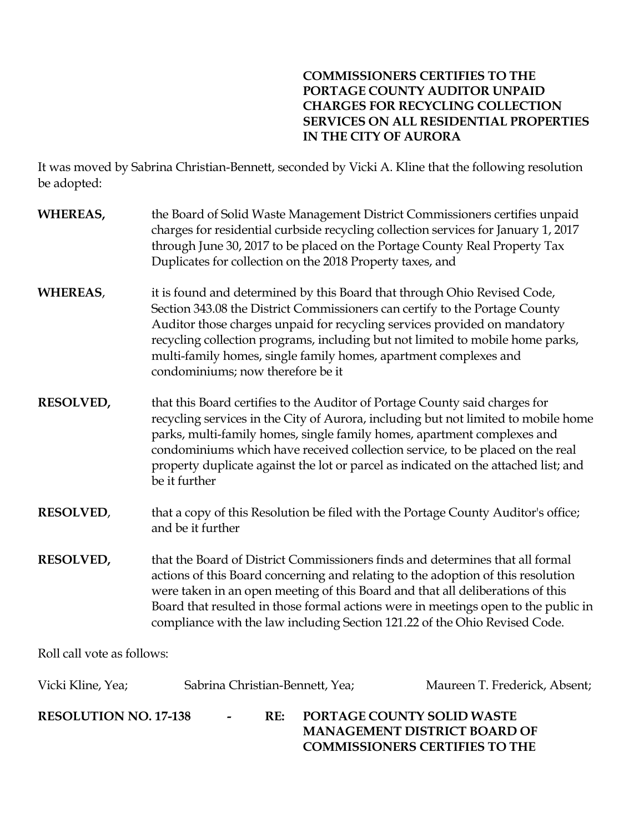# **COMMISSIONERS CERTIFIES TO THE PORTAGE COUNTY AUDITOR UNPAID CHARGES FOR RECYCLING COLLECTION SERVICES ON ALL RESIDENTIAL PROPERTIES IN THE CITY OF AURORA**

It was moved by Sabrina Christian-Bennett, seconded by Vicki A. Kline that the following resolution be adopted:

| <b>WHEREAS,</b>            | the Board of Solid Waste Management District Commissioners certifies unpaid<br>charges for residential curbside recycling collection services for January 1, 2017<br>through June 30, 2017 to be placed on the Portage County Real Property Tax<br>Duplicates for collection on the 2018 Property taxes, and                                                                                                                          |                               |  |
|----------------------------|---------------------------------------------------------------------------------------------------------------------------------------------------------------------------------------------------------------------------------------------------------------------------------------------------------------------------------------------------------------------------------------------------------------------------------------|-------------------------------|--|
| <b>WHEREAS,</b>            | it is found and determined by this Board that through Ohio Revised Code,<br>Section 343.08 the District Commissioners can certify to the Portage County<br>Auditor those charges unpaid for recycling services provided on mandatory<br>recycling collection programs, including but not limited to mobile home parks,<br>multi-family homes, single family homes, apartment complexes and<br>condominiums; now therefore be it       |                               |  |
| <b>RESOLVED,</b>           | that this Board certifies to the Auditor of Portage County said charges for<br>recycling services in the City of Aurora, including but not limited to mobile home<br>parks, multi-family homes, single family homes, apartment complexes and<br>condominiums which have received collection service, to be placed on the real<br>property duplicate against the lot or parcel as indicated on the attached list; and<br>be it further |                               |  |
| <b>RESOLVED,</b>           | that a copy of this Resolution be filed with the Portage County Auditor's office;<br>and be it further                                                                                                                                                                                                                                                                                                                                |                               |  |
| <b>RESOLVED,</b>           | that the Board of District Commissioners finds and determines that all formal<br>actions of this Board concerning and relating to the adoption of this resolution<br>were taken in an open meeting of this Board and that all deliberations of this<br>Board that resulted in those formal actions were in meetings open to the public in<br>compliance with the law including Section 121.22 of the Ohio Revised Code.               |                               |  |
| Roll call vote as follows: |                                                                                                                                                                                                                                                                                                                                                                                                                                       |                               |  |
| Vicki Kline, Yea;          | Sabrina Christian-Bennett, Yea;                                                                                                                                                                                                                                                                                                                                                                                                       | Maureen T. Frederick, Absent; |  |

**RESOLUTION NO. 17-138 - RE: PORTAGE COUNTY SOLID WASTE MANAGEMENT DISTRICT BOARD OF COMMISSIONERS CERTIFIES TO THE**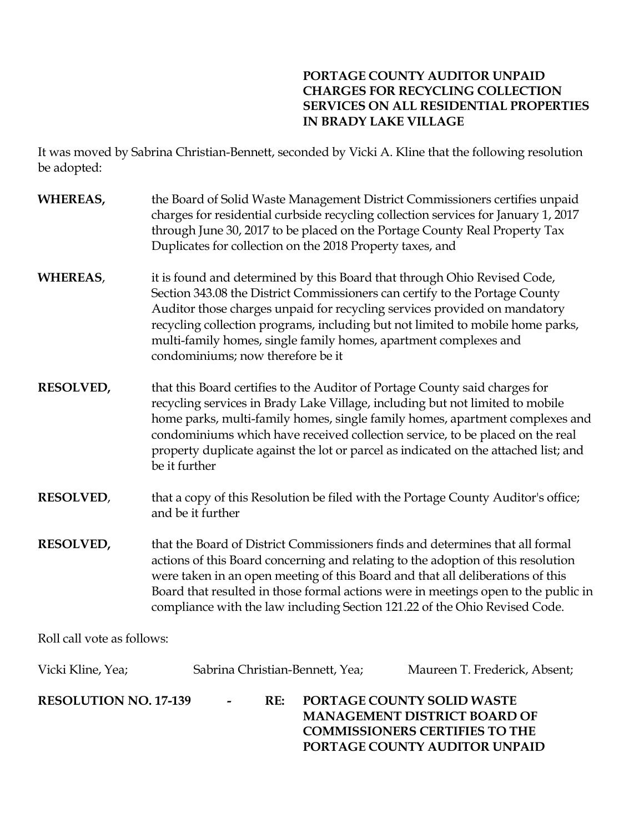# **PORTAGE COUNTY AUDITOR UNPAID CHARGES FOR RECYCLING COLLECTION SERVICES ON ALL RESIDENTIAL PROPERTIES IN BRADY LAKE VILLAGE**

**PORTAGE COUNTY AUDITOR UNPAID** 

| <b>WHEREAS,</b>              | the Board of Solid Waste Management District Commissioners certifies unpaid<br>charges for residential curbside recycling collection services for January 1, 2017<br>through June 30, 2017 to be placed on the Portage County Real Property Tax<br>Duplicates for collection on the 2018 Property taxes, and                                                                                                                          |
|------------------------------|---------------------------------------------------------------------------------------------------------------------------------------------------------------------------------------------------------------------------------------------------------------------------------------------------------------------------------------------------------------------------------------------------------------------------------------|
| <b>WHEREAS,</b>              | it is found and determined by this Board that through Ohio Revised Code,<br>Section 343.08 the District Commissioners can certify to the Portage County<br>Auditor those charges unpaid for recycling services provided on mandatory<br>recycling collection programs, including but not limited to mobile home parks,<br>multi-family homes, single family homes, apartment complexes and<br>condominiums; now therefore be it       |
| <b>RESOLVED,</b>             | that this Board certifies to the Auditor of Portage County said charges for<br>recycling services in Brady Lake Village, including but not limited to mobile<br>home parks, multi-family homes, single family homes, apartment complexes and<br>condominiums which have received collection service, to be placed on the real<br>property duplicate against the lot or parcel as indicated on the attached list; and<br>be it further |
| <b>RESOLVED,</b>             | that a copy of this Resolution be filed with the Portage County Auditor's office;<br>and be it further                                                                                                                                                                                                                                                                                                                                |
| <b>RESOLVED,</b>             | that the Board of District Commissioners finds and determines that all formal<br>actions of this Board concerning and relating to the adoption of this resolution<br>were taken in an open meeting of this Board and that all deliberations of this<br>Board that resulted in those formal actions were in meetings open to the public in<br>compliance with the law including Section 121.22 of the Ohio Revised Code.               |
| Roll call vote as follows:   |                                                                                                                                                                                                                                                                                                                                                                                                                                       |
| Vicki Kline, Yea;            | Sabrina Christian-Bennett, Yea;<br>Maureen T. Frederick, Absent;                                                                                                                                                                                                                                                                                                                                                                      |
| <b>RESOLUTION NO. 17-139</b> | RE:<br>PORTAGE COUNTY SOLID WASTE<br>MANAGEMENT DISTRICT BOARD OF<br><b>COMMISSIONERS CERTIFIES TO THE</b>                                                                                                                                                                                                                                                                                                                            |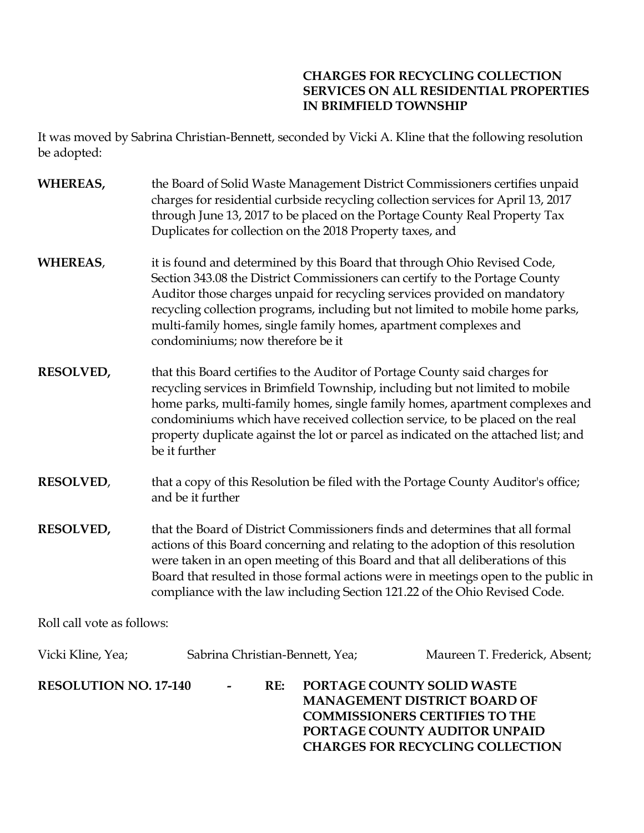# **CHARGES FOR RECYCLING COLLECTION SERVICES ON ALL RESIDENTIAL PROPERTIES IN BRIMFIELD TOWNSHIP**

**CHARGES FOR RECYCLING COLLECTION** 

| WHEREAS,                     | charges for residential curbside recycling collection services for April 13, 2017<br>through June 13, 2017 to be placed on the Portage County Real Property Tax<br>Duplicates for collection on the 2018 Property taxes, and                                                                                                                  | the Board of Solid Waste Management District Commissioners certifies unpaid                                                                                                                                                                          |
|------------------------------|-----------------------------------------------------------------------------------------------------------------------------------------------------------------------------------------------------------------------------------------------------------------------------------------------------------------------------------------------|------------------------------------------------------------------------------------------------------------------------------------------------------------------------------------------------------------------------------------------------------|
| <b>WHEREAS,</b>              | it is found and determined by this Board that through Ohio Revised Code,<br>Section 343.08 the District Commissioners can certify to the Portage County<br>Auditor those charges unpaid for recycling services provided on mandatory<br>multi-family homes, single family homes, apartment complexes and<br>condominiums; now therefore be it | recycling collection programs, including but not limited to mobile home parks,                                                                                                                                                                       |
| <b>RESOLVED,</b>             | that this Board certifies to the Auditor of Portage County said charges for<br>recycling services in Brimfield Township, including but not limited to mobile<br>be it further                                                                                                                                                                 | home parks, multi-family homes, single family homes, apartment complexes and<br>condominiums which have received collection service, to be placed on the real<br>property duplicate against the lot or parcel as indicated on the attached list; and |
| <b>RESOLVED,</b>             | and be it further                                                                                                                                                                                                                                                                                                                             | that a copy of this Resolution be filed with the Portage County Auditor's office;                                                                                                                                                                    |
| <b>RESOLVED,</b>             | that the Board of District Commissioners finds and determines that all formal<br>actions of this Board concerning and relating to the adoption of this resolution<br>were taken in an open meeting of this Board and that all deliberations of this<br>compliance with the law including Section 121.22 of the Ohio Revised Code.             | Board that resulted in those formal actions were in meetings open to the public in                                                                                                                                                                   |
| Roll call vote as follows:   |                                                                                                                                                                                                                                                                                                                                               |                                                                                                                                                                                                                                                      |
| Vicki Kline, Yea;            | Sabrina Christian-Bennett, Yea;                                                                                                                                                                                                                                                                                                               | Maureen T. Frederick, Absent;                                                                                                                                                                                                                        |
| <b>RESOLUTION NO. 17-140</b> | RE:                                                                                                                                                                                                                                                                                                                                           | PORTAGE COUNTY SOLID WASTE<br><b>MANAGEMENT DISTRICT BOARD OF</b><br><b>COMMISSIONERS CERTIFIES TO THE</b><br>PORTAGE COUNTY AUDITOR UNPAID                                                                                                          |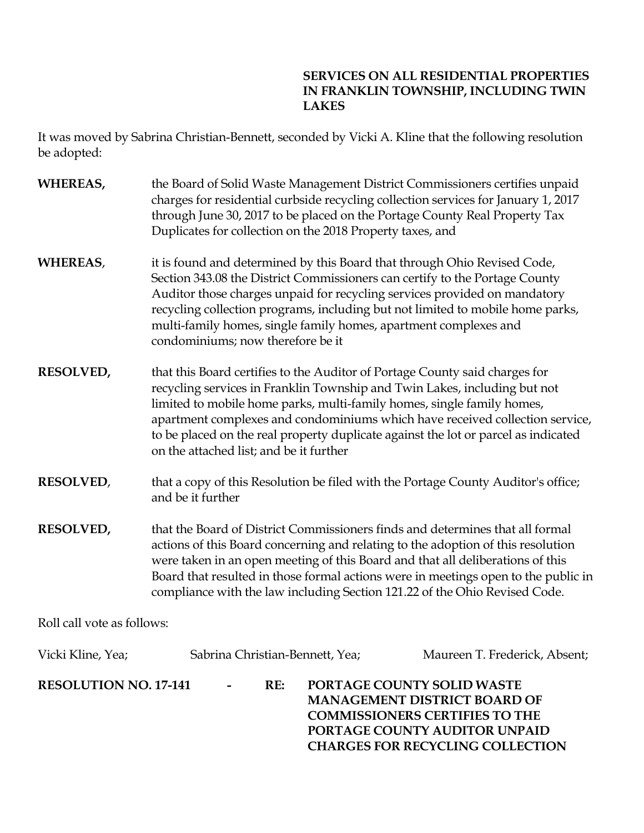# **SERVICES ON ALL RESIDENTIAL PROPERTIES IN FRANKLIN TOWNSHIP, INCLUDING TWIN LAKES**

**CHARGES FOR RECYCLING COLLECTION** 

| WHEREAS,                     | through June 30, 2017 to be placed on the Portage County Real Property Tax<br>Duplicates for collection on the 2018 Property taxes, and                                                                                                                                       |                            | the Board of Solid Waste Management District Commissioners certifies unpaid<br>charges for residential curbside recycling collection services for January 1, 2017                                                                                                                                                                         |
|------------------------------|-------------------------------------------------------------------------------------------------------------------------------------------------------------------------------------------------------------------------------------------------------------------------------|----------------------------|-------------------------------------------------------------------------------------------------------------------------------------------------------------------------------------------------------------------------------------------------------------------------------------------------------------------------------------------|
| <b>WHEREAS,</b>              | it is found and determined by this Board that through Ohio Revised Code,<br>Section 343.08 the District Commissioners can certify to the Portage County<br>multi-family homes, single family homes, apartment complexes and<br>condominiums; now therefore be it              |                            | Auditor those charges unpaid for recycling services provided on mandatory<br>recycling collection programs, including but not limited to mobile home parks,                                                                                                                                                                               |
| <b>RESOLVED,</b>             | that this Board certifies to the Auditor of Portage County said charges for<br>recycling services in Franklin Township and Twin Lakes, including but not<br>limited to mobile home parks, multi-family homes, single family homes,<br>on the attached list; and be it further |                            | apartment complexes and condominiums which have received collection service,<br>to be placed on the real property duplicate against the lot or parcel as indicated                                                                                                                                                                        |
| <b>RESOLVED,</b>             | and be it further                                                                                                                                                                                                                                                             |                            | that a copy of this Resolution be filed with the Portage County Auditor's office;                                                                                                                                                                                                                                                         |
| <b>RESOLVED,</b>             | compliance with the law including Section 121.22 of the Ohio Revised Code.                                                                                                                                                                                                    |                            | that the Board of District Commissioners finds and determines that all formal<br>actions of this Board concerning and relating to the adoption of this resolution<br>were taken in an open meeting of this Board and that all deliberations of this<br>Board that resulted in those formal actions were in meetings open to the public in |
| Roll call vote as follows:   |                                                                                                                                                                                                                                                                               |                            |                                                                                                                                                                                                                                                                                                                                           |
| Vicki Kline, Yea;            | Sabrina Christian-Bennett, Yea;                                                                                                                                                                                                                                               |                            | Maureen T. Frederick, Absent;                                                                                                                                                                                                                                                                                                             |
| <b>RESOLUTION NO. 17-141</b> | RE:                                                                                                                                                                                                                                                                           | PORTAGE COUNTY SOLID WASTE | MANAGEMENT DISTRICT BOARD OF<br><b>COMMISSIONERS CERTIFIES TO THE</b><br>PORTAGE COUNTY AUDITOR UNPAID                                                                                                                                                                                                                                    |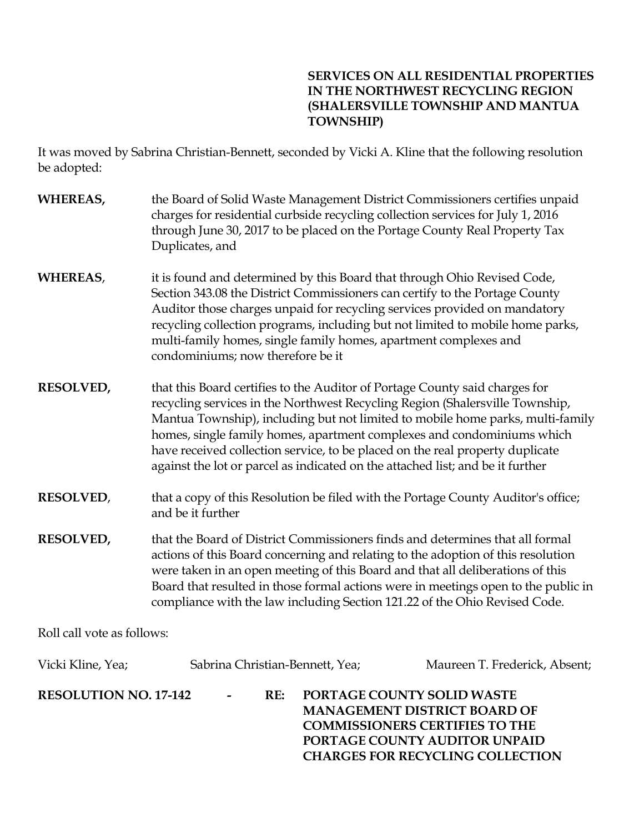# **SERVICES ON ALL RESIDENTIAL PROPERTIES IN THE NORTHWEST RECYCLING REGION (SHALERSVILLE TOWNSHIP AND MANTUA TOWNSHIP)**

**COMMISSIONERS CERTIFIES TO THE PORTAGE COUNTY AUDITOR UNPAID CHARGES FOR RECYCLING COLLECTION** 

| WHEREAS,                     | the Board of Solid Waste Management District Commissioners certifies unpaid<br>charges for residential curbside recycling collection services for July 1, 2016<br>through June 30, 2017 to be placed on the Portage County Real Property Tax<br>Duplicates, and                                                                                                                                                                                                                            |                                                                   |
|------------------------------|--------------------------------------------------------------------------------------------------------------------------------------------------------------------------------------------------------------------------------------------------------------------------------------------------------------------------------------------------------------------------------------------------------------------------------------------------------------------------------------------|-------------------------------------------------------------------|
| <b>WHEREAS,</b>              | it is found and determined by this Board that through Ohio Revised Code,<br>Section 343.08 the District Commissioners can certify to the Portage County<br>Auditor those charges unpaid for recycling services provided on mandatory<br>recycling collection programs, including but not limited to mobile home parks,<br>multi-family homes, single family homes, apartment complexes and<br>condominiums; now therefore be it                                                            |                                                                   |
| <b>RESOLVED,</b>             | that this Board certifies to the Auditor of Portage County said charges for<br>recycling services in the Northwest Recycling Region (Shalersville Township,<br>Mantua Township), including but not limited to mobile home parks, multi-family<br>homes, single family homes, apartment complexes and condominiums which<br>have received collection service, to be placed on the real property duplicate<br>against the lot or parcel as indicated on the attached list; and be it further |                                                                   |
| <b>RESOLVED,</b>             | that a copy of this Resolution be filed with the Portage County Auditor's office;<br>and be it further                                                                                                                                                                                                                                                                                                                                                                                     |                                                                   |
| <b>RESOLVED,</b>             | that the Board of District Commissioners finds and determines that all formal<br>actions of this Board concerning and relating to the adoption of this resolution<br>were taken in an open meeting of this Board and that all deliberations of this<br>Board that resulted in those formal actions were in meetings open to the public in<br>compliance with the law including Section 121.22 of the Ohio Revised Code.                                                                    |                                                                   |
| Roll call vote as follows:   |                                                                                                                                                                                                                                                                                                                                                                                                                                                                                            |                                                                   |
| Vicki Kline, Yea;            | Sabrina Christian-Bennett, Yea;                                                                                                                                                                                                                                                                                                                                                                                                                                                            | Maureen T. Frederick, Absent;                                     |
| <b>RESOLUTION NO. 17-142</b> | RE:                                                                                                                                                                                                                                                                                                                                                                                                                                                                                        | PORTAGE COUNTY SOLID WASTE<br><b>MANAGEMENT DISTRICT BOARD OF</b> |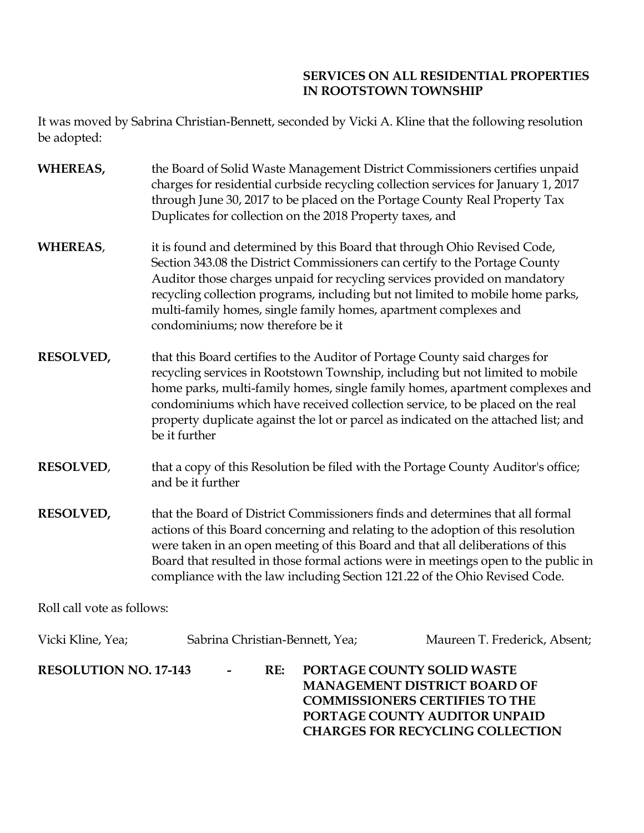# **SERVICES ON ALL RESIDENTIAL PROPERTIES IN ROOTSTOWN TOWNSHIP**

It was moved by Sabrina Christian-Bennett, seconded by Vicki A. Kline that the following resolution be adopted:

| <b>WHEREAS,</b> | the Board of Solid Waste Management District Commissioners certifies unpaid        |
|-----------------|------------------------------------------------------------------------------------|
|                 | charges for residential curbside recycling collection services for January 1, 2017 |
|                 | through June 30, 2017 to be placed on the Portage County Real Property Tax         |
|                 | Duplicates for collection on the 2018 Property taxes, and                          |

- **WHEREAS,** it is found and determined by this Board that through Ohio Revised Code, Section 343.08 the District Commissioners can certify to the Portage County Auditor those charges unpaid for recycling services provided on mandatory recycling collection programs, including but not limited to mobile home parks, multi-family homes, single family homes, apartment complexes and condominiums; now therefore be it
- **RESOLVED,** that this Board certifies to the Auditor of Portage County said charges for recycling services in Rootstown Township, including but not limited to mobile home parks, multi-family homes, single family homes, apartment complexes and condominiums which have received collection service, to be placed on the real property duplicate against the lot or parcel as indicated on the attached list; and be it further
- **RESOLVED**, that a copy of this Resolution be filed with the Portage County Auditor's office; and be it further
- **RESOLVED,** that the Board of District Commissioners finds and determines that all formal actions of this Board concerning and relating to the adoption of this resolution were taken in an open meeting of this Board and that all deliberations of this Board that resulted in those formal actions were in meetings open to the public in compliance with the law including Section 121.22 of the Ohio Revised Code.

Roll call vote as follows:

| <b>RESOLUTION NO. 17-143</b><br><b>PORTAGE COUNTY SOLID WASTE</b><br>RE:<br>$\sim$<br><b>MANAGEMENT DISTRICT BOARD OF</b><br><b>COMMISSIONERS CERTIFIES TO THE</b><br>PORTAGE COUNTY AUDITOR UNPAID<br><b>CHARGES FOR RECYCLING COLLECTION</b> | Vicki Kline, Yea; | Sabrina Christian-Bennett, Yea; | Maureen T. Frederick, Absent; |
|------------------------------------------------------------------------------------------------------------------------------------------------------------------------------------------------------------------------------------------------|-------------------|---------------------------------|-------------------------------|
|                                                                                                                                                                                                                                                |                   |                                 |                               |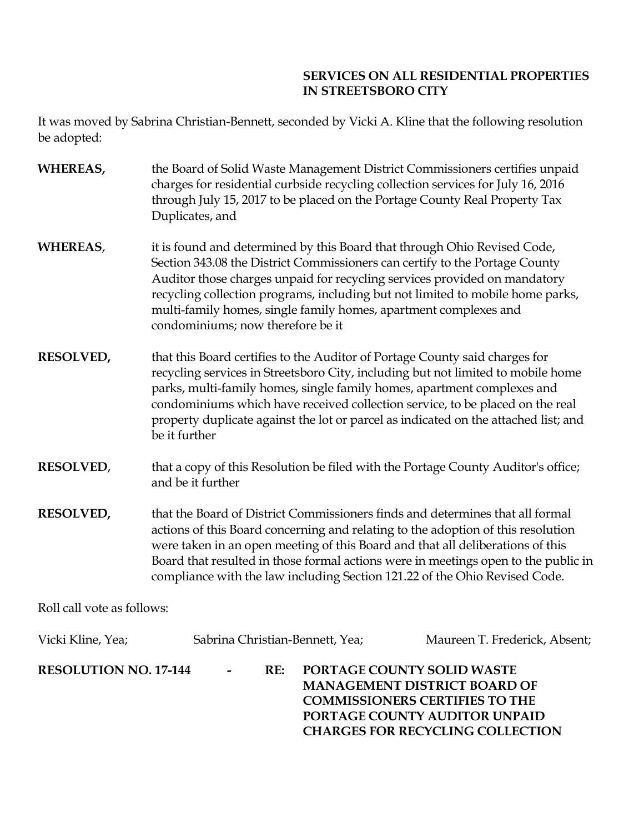# **SERVICES ON ALL RESIDENTIAL PROPERTIES IN STREETSBORO CITY**

It was moved by Sabrina Christian-Bennett, seconded by Vicki A. Kline that the following resolution be adopted:

- **WHEREAS,** the Board of Solid Waste Management District Commissioners certifies unpaid charges for residential curbside recycling collection services for July 16, 2016 through July 15, 2017 to be placed on the Portage County Real Property Tax Duplicates, and
- **WHEREAS**, it is found and determined by this Board that through Ohio Revised Code, Section 343.08 the District Commissioners can certify to the Portage County Auditor those charges unpaid for recycling services provided on mandatory recycling collection programs, including but not limited to mobile home parks, multi-family homes, single family homes, apartment complexes and condominiums; now therefore be it
- **RESOLVED,** that this Board certifies to the Auditor of Portage County said charges for recycling services in Streetsboro City, including but not limited to mobile home parks, multi-family homes, single family homes, apartment complexes and condominiums which have received collection service, to be placed on the real property duplicate against the lot or parcel as indicated on the attached list; and be it further
- **RESOLVED**, that a copy of this Resolution be filed with the Portage County Auditor's office; and be it further
- **RESOLVED,** that the Board of District Commissioners finds and determines that all formal actions of this Board concerning and relating to the adoption of this resolution were taken in an open meeting of this Board and that all deliberations of this Board that resulted in those formal actions were in meetings open to the public in compliance with the law including Section 121.22 of the Ohio Revised Code.

Roll call vote as follows:

| Vicki Kline, Yea;            | Sabrina Christian-Bennett, Yea; |     | Maureen T. Frederick, Absent;                                                                                                                                                                 |
|------------------------------|---------------------------------|-----|-----------------------------------------------------------------------------------------------------------------------------------------------------------------------------------------------|
| <b>RESOLUTION NO. 17-144</b> | $\sim$                          | RE: | <b>PORTAGE COUNTY SOLID WASTE</b><br><b>MANAGEMENT DISTRICT BOARD OF</b><br><b>COMMISSIONERS CERTIFIES TO THE</b><br>PORTAGE COUNTY AUDITOR UNPAID<br><b>CHARGES FOR RECYCLING COLLECTION</b> |
|                              |                                 |     |                                                                                                                                                                                               |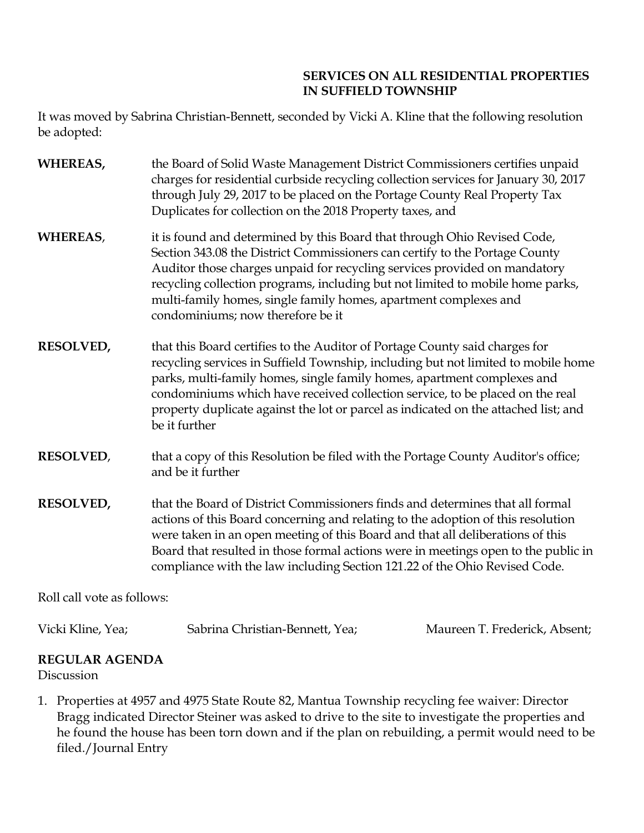# **SERVICES ON ALL RESIDENTIAL PROPERTIES IN SUFFIELD TOWNSHIP**

It was moved by Sabrina Christian-Bennett, seconded by Vicki A. Kline that the following resolution be adopted:

- **WHEREAS,** the Board of Solid Waste Management District Commissioners certifies unpaid charges for residential curbside recycling collection services for January 30, 2017 through July 29, 2017 to be placed on the Portage County Real Property Tax Duplicates for collection on the 2018 Property taxes, and
- **WHEREAS,** it is found and determined by this Board that through Ohio Revised Code, Section 343.08 the District Commissioners can certify to the Portage County Auditor those charges unpaid for recycling services provided on mandatory recycling collection programs, including but not limited to mobile home parks, multi-family homes, single family homes, apartment complexes and condominiums; now therefore be it
- **RESOLVED,** that this Board certifies to the Auditor of Portage County said charges for recycling services in Suffield Township, including but not limited to mobile home parks, multi-family homes, single family homes, apartment complexes and condominiums which have received collection service, to be placed on the real property duplicate against the lot or parcel as indicated on the attached list; and be it further
- **RESOLVED**, that a copy of this Resolution be filed with the Portage County Auditor's office; and be it further
- **RESOLVED,** that the Board of District Commissioners finds and determines that all formal actions of this Board concerning and relating to the adoption of this resolution were taken in an open meeting of this Board and that all deliberations of this Board that resulted in those formal actions were in meetings open to the public in compliance with the law including Section 121.22 of the Ohio Revised Code.

Roll call vote as follows:

Vicki Kline, Yea; Sabrina Christian-Bennett, Yea; Maureen T. Frederick, Absent;

# **REGULAR AGENDA**

Discussion

1. Properties at 4957 and 4975 State Route 82, Mantua Township recycling fee waiver: Director Bragg indicated Director Steiner was asked to drive to the site to investigate the properties and he found the house has been torn down and if the plan on rebuilding, a permit would need to be filed./Journal Entry